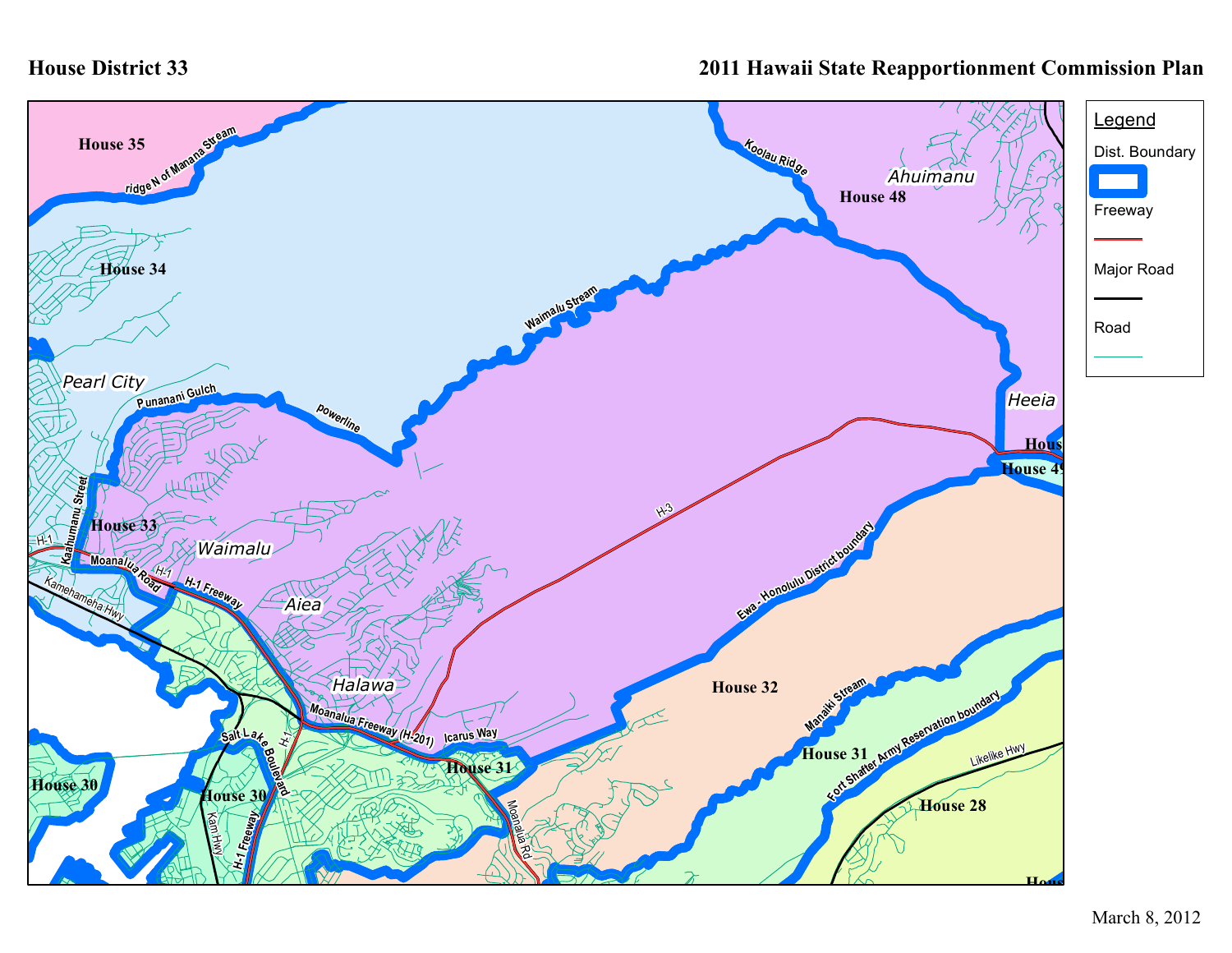## **House District 33**

## **2011 Hawaii State Reapportionment Commission Plan**